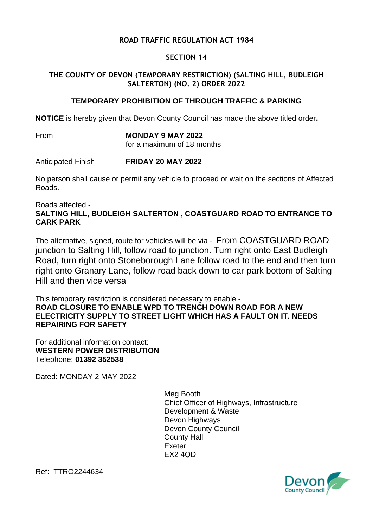## **ROAD TRAFFIC REGULATION ACT 1984**

#### **SECTION 14**

### **THE COUNTY OF DEVON (TEMPORARY RESTRICTION) (SALTING HILL, BUDLEIGH SALTERTON) (NO. 2) ORDER 2022**

#### **TEMPORARY PROHIBITION OF THROUGH TRAFFIC & PARKING**

**NOTICE** is hereby given that Devon County Council has made the above titled order**.**

From **MONDAY 9 MAY 2022**

for a maximum of 18 months

Anticipated Finish **FRIDAY 20 MAY 2022**

No person shall cause or permit any vehicle to proceed or wait on the sections of Affected Roads.

Roads affected -

# **SALTING HILL, BUDLEIGH SALTERTON , COASTGUARD ROAD TO ENTRANCE TO CARK PARK**

The alternative, signed, route for vehicles will be via - From COASTGUARD ROAD junction to Salting Hill, follow road to junction. Turn right onto East Budleigh Road, turn right onto Stoneborough Lane follow road to the end and then turn right onto Granary Lane, follow road back down to car park bottom of Salting Hill and then vice versa

This temporary restriction is considered necessary to enable - **ROAD CLOSURE TO ENABLE WPD TO TRENCH DOWN ROAD FOR A NEW ELECTRICITY SUPPLY TO STREET LIGHT WHICH HAS A FAULT ON IT. NEEDS REPAIRING FOR SAFETY**

For additional information contact: **WESTERN POWER DISTRIBUTION** Telephone: **01392 352538**

Dated: MONDAY 2 MAY 2022

Meg Booth Chief Officer of Highways, Infrastructure Development & Waste Devon Highways Devon County Council County Hall Exeter EX2 4QD



Ref: TTRO2244634